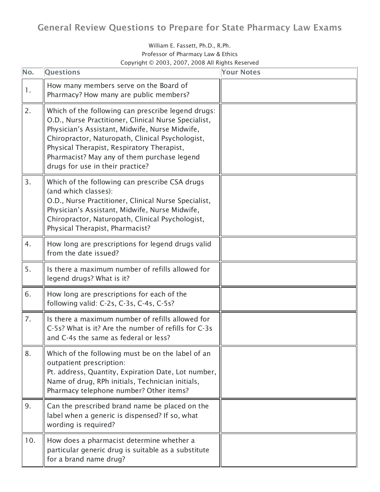## General Review Questions to Prepare for State Pharmacy Law Exams

## William E. Fassett, Ph.D., R.Ph. Professor of Pharmacy Law & Ethics Copyright © 2003, 2007, 2008 All Rights Reserved

| No. | <b>Questions</b>                                                                                                                                                                                                                                                                                                                                  | <b>Your Notes</b> |
|-----|---------------------------------------------------------------------------------------------------------------------------------------------------------------------------------------------------------------------------------------------------------------------------------------------------------------------------------------------------|-------------------|
| 1.  | How many members serve on the Board of<br>Pharmacy? How many are public members?                                                                                                                                                                                                                                                                  |                   |
| 2.  | Which of the following can prescribe legend drugs:<br>O.D., Nurse Practitioner, Clinical Nurse Specialist,<br>Physician's Assistant, Midwife, Nurse Midwife,<br>Chiropractor, Naturopath, Clinical Psychologist,<br>Physical Therapist, Respiratory Therapist,<br>Pharmacist? May any of them purchase legend<br>drugs for use in their practice? |                   |
| 3.  | Which of the following can prescribe CSA drugs<br>(and which classes):<br>O.D., Nurse Practitioner, Clinical Nurse Specialist,<br>Physician's Assistant, Midwife, Nurse Midwife,<br>Chiropractor, Naturopath, Clinical Psychologist,<br>Physical Therapist, Pharmacist?                                                                           |                   |
| 4.  | How long are prescriptions for legend drugs valid<br>from the date issued?                                                                                                                                                                                                                                                                        |                   |
| 5.  | Is there a maximum number of refills allowed for<br>legend drugs? What is it?                                                                                                                                                                                                                                                                     |                   |
| 6.  | How long are prescriptions for each of the<br>following valid: C-2s, C-3s, C-4s, C-5s?                                                                                                                                                                                                                                                            |                   |
| 7.  | Is there a maximum number of refills allowed for<br>C-5s? What is it? Are the number of refills for C-3s<br>and C-4s the same as federal or less?                                                                                                                                                                                                 |                   |
| 8.  | Which of the following must be on the label of an<br>outpatient prescription:<br>Pt. address, Quantity, Expiration Date, Lot number,<br>Name of drug, RPh initials, Technician initials,<br>Pharmacy telephone number? Other items?                                                                                                               |                   |
| 9.  | Can the prescribed brand name be placed on the<br>label when a generic is dispensed? If so, what<br>wording is required?                                                                                                                                                                                                                          |                   |
| 10. | How does a pharmacist determine whether a<br>particular generic drug is suitable as a substitute<br>for a brand name drug?                                                                                                                                                                                                                        |                   |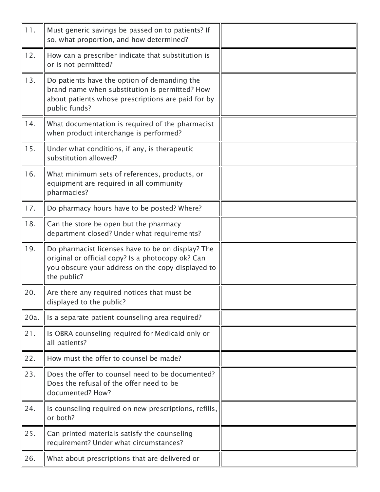| 11.  | Must generic savings be passed on to patients? If<br>so, what proportion, and how determined?                                                                              |  |
|------|----------------------------------------------------------------------------------------------------------------------------------------------------------------------------|--|
| 12.  | How can a prescriber indicate that substitution is<br>or is not permitted?                                                                                                 |  |
| 13.  | Do patients have the option of demanding the<br>brand name when substitution is permitted? How<br>about patients whose prescriptions are paid for by<br>public funds?      |  |
| 14.  | What documentation is required of the pharmacist<br>when product interchange is performed?                                                                                 |  |
| 15.  | Under what conditions, if any, is therapeutic<br>substitution allowed?                                                                                                     |  |
| 16.  | What minimum sets of references, products, or<br>equipment are required in all community<br>pharmacies?                                                                    |  |
| 17.  | Do pharmacy hours have to be posted? Where?                                                                                                                                |  |
| 18.  | Can the store be open but the pharmacy<br>department closed? Under what requirements?                                                                                      |  |
| 19.  | Do pharmacist licenses have to be on display? The<br>original or official copy? Is a photocopy ok? Can<br>you obscure your address on the copy displayed to<br>the public? |  |
| 20.  | Are there any required notices that must be<br>displayed to the public?                                                                                                    |  |
| 20a. | Is a separate patient counseling area required?                                                                                                                            |  |
| 21.  | Is OBRA counseling required for Medicaid only or<br>all patients?                                                                                                          |  |
| 22.  | How must the offer to counsel be made?                                                                                                                                     |  |
| 23.  | Does the offer to counsel need to be documented?<br>Does the refusal of the offer need to be<br>documented? How?                                                           |  |
| 24.  | Is counseling required on new prescriptions, refills,<br>or both?                                                                                                          |  |
| 25.  | Can printed materials satisfy the counseling<br>requirement? Under what circumstances?                                                                                     |  |
| 26.  | What about prescriptions that are delivered or                                                                                                                             |  |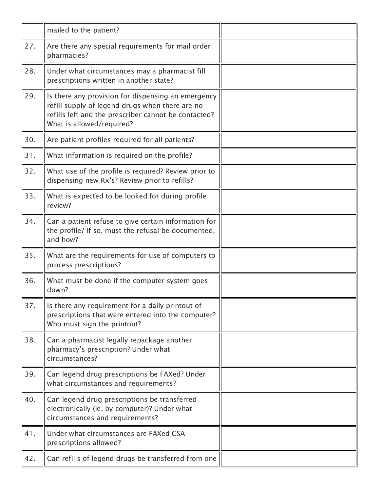|     | mailed to the patient?                                                                                                                                                                     |  |
|-----|--------------------------------------------------------------------------------------------------------------------------------------------------------------------------------------------|--|
| 27. | Are there any special requirements for mail order<br>pharmacies?                                                                                                                           |  |
| 28. | Under what circumstances may a pharmacist fill<br>prescriptions written in another state?                                                                                                  |  |
| 29. | Is there any provision for dispensing an emergency<br>refill supply of legend drugs when there are no<br>refills left and the prescriber cannot be contacted?<br>What is allowed/required? |  |
| 30. | Are patient profiles required for all patients?                                                                                                                                            |  |
| 31. | What information is required on the profile?                                                                                                                                               |  |
| 32. | What use of the profile is required? Review prior to<br>dispensing new Rx's? Review prior to refills?                                                                                      |  |
| 33. | What is expected to be looked for during profile<br>review?                                                                                                                                |  |
| 34. | Can a patient refuse to give certain information for<br>the profile? If so, must the refusal be documented,<br>and how?                                                                    |  |
| 35. | What are the requirements for use of computers to<br>process prescriptions?                                                                                                                |  |
| 36. | What must be done if the computer system goes<br>down?                                                                                                                                     |  |
| 37. | Is there any requirement for a daily printout of<br>prescriptions that were entered into the computer?<br>Who must sign the printout?                                                      |  |
| 38. | Can a pharmacist legally repackage another<br>pharmacy's prescription? Under what<br>circumstances?                                                                                        |  |
| 39. | Can legend drug prescriptions be FAXed? Under<br>what circumstances and requirements?                                                                                                      |  |
| 40. | Can legend drug prescriptions be transferred<br>electronically (ie, by computer)? Under what<br>circumstances and requirements?                                                            |  |
| 41. | Under what circumstances are FAXed CSA<br>prescriptions allowed?                                                                                                                           |  |
| 42. | Can refills of legend drugs be transferred from one                                                                                                                                        |  |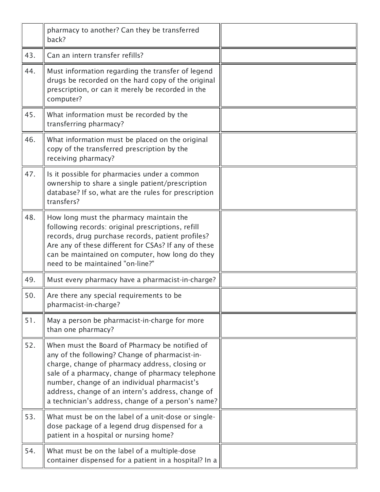|     | pharmacy to another? Can they be transferred<br>back?                                                                                                                                                                                                                                                                                                             |  |
|-----|-------------------------------------------------------------------------------------------------------------------------------------------------------------------------------------------------------------------------------------------------------------------------------------------------------------------------------------------------------------------|--|
| 43. | Can an intern transfer refills?                                                                                                                                                                                                                                                                                                                                   |  |
| 44. | Must information regarding the transfer of legend<br>drugs be recorded on the hard copy of the original<br>prescription, or can it merely be recorded in the<br>computer?                                                                                                                                                                                         |  |
| 45. | What information must be recorded by the<br>transferring pharmacy?                                                                                                                                                                                                                                                                                                |  |
| 46. | What information must be placed on the original<br>copy of the transferred prescription by the<br>receiving pharmacy?                                                                                                                                                                                                                                             |  |
| 47. | Is it possible for pharmacies under a common<br>ownership to share a single patient/prescription<br>database? If so, what are the rules for prescription<br>transfers?                                                                                                                                                                                            |  |
| 48. | How long must the pharmacy maintain the<br>following records: original prescriptions, refill<br>records, drug purchase records, patient profiles?<br>Are any of these different for CSAs? If any of these<br>can be maintained on computer, how long do they<br>need to be maintained "on-line?"                                                                  |  |
| 49. | Must every pharmacy have a pharmacist-in-charge?                                                                                                                                                                                                                                                                                                                  |  |
| 50. | Are there any special requirements to be<br>pharmacist-in-charge?                                                                                                                                                                                                                                                                                                 |  |
| 51. | May a person be pharmacist-in-charge for more<br>than one pharmacy?                                                                                                                                                                                                                                                                                               |  |
| 52. | When must the Board of Pharmacy be notified of<br>any of the following? Change of pharmacist-in-<br>charge, change of pharmacy address, closing or<br>sale of a pharmacy, change of pharmacy telephone<br>number, change of an individual pharmacist's<br>address, change of an intern's address, change of<br>a technician's address, change of a person's name? |  |
| 53. | What must be on the label of a unit-dose or single-<br>dose package of a legend drug dispensed for a<br>patient in a hospital or nursing home?                                                                                                                                                                                                                    |  |
| 54. | What must be on the label of a multiple-dose<br>container dispensed for a patient in a hospital? In a                                                                                                                                                                                                                                                             |  |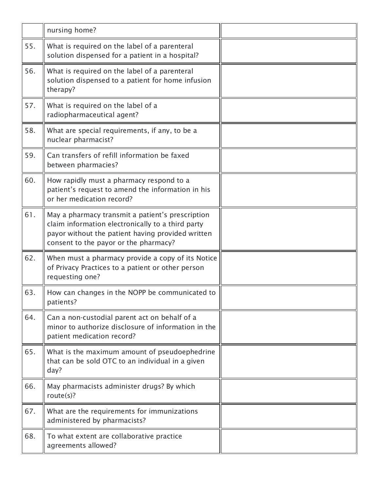|     | nursing home?                                                                                                                                                                                       |  |
|-----|-----------------------------------------------------------------------------------------------------------------------------------------------------------------------------------------------------|--|
| 55. | What is required on the label of a parenteral<br>solution dispensed for a patient in a hospital?                                                                                                    |  |
| 56. | What is required on the label of a parenteral<br>solution dispensed to a patient for home infusion<br>therapy?                                                                                      |  |
| 57. | What is required on the label of a<br>radiopharmaceutical agent?                                                                                                                                    |  |
| 58. | What are special requirements, if any, to be a<br>nuclear pharmacist?                                                                                                                               |  |
| 59. | Can transfers of refill information be faxed<br>between pharmacies?                                                                                                                                 |  |
| 60. | How rapidly must a pharmacy respond to a<br>patient's request to amend the information in his<br>or her medication record?                                                                          |  |
| 61. | May a pharmacy transmit a patient's prescription<br>claim information electronically to a third party<br>payor without the patient having provided written<br>consent to the payor or the pharmacy? |  |
| 62. | When must a pharmacy provide a copy of its Notice<br>of Privacy Practices to a patient or other person<br>requesting one?                                                                           |  |
| 63. | How can changes in the NOPP be communicated to<br>patients?                                                                                                                                         |  |
| 64. | Can a non-custodial parent act on behalf of a<br>minor to authorize disclosure of information in the<br>patient medication record?                                                                  |  |
| 65. | What is the maximum amount of pseudoephedrine<br>that can be sold OTC to an individual in a given<br>day?                                                                                           |  |
| 66. | May pharmacists administer drugs? By which<br>route $(s)$ ?                                                                                                                                         |  |
| 67. | What are the requirements for immunizations<br>administered by pharmacists?                                                                                                                         |  |
| 68. | To what extent are collaborative practice<br>agreements allowed?                                                                                                                                    |  |